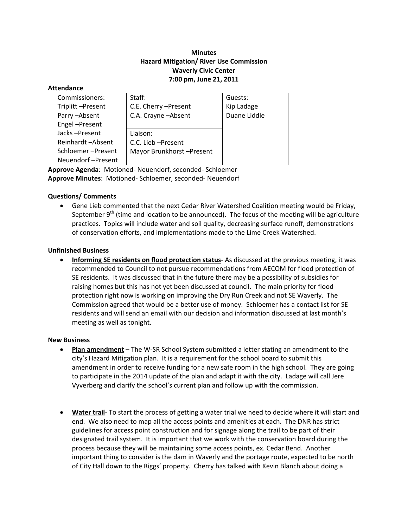# **Minutes Hazard Mitigation/ River Use Commission Waverly Civic Center 7:00 pm, June 21, 2011**

#### **Attendance**

| Commissioners:    | Staff:                   | Guests:      |
|-------------------|--------------------------|--------------|
| Triplitt-Present  | C.E. Cherry -Present     | Kip Ladage   |
| Parry-Absent      | C.A. Crayne - Absent     | Duane Liddle |
| Engel-Present     |                          |              |
| Jacks-Present     | Liaison:                 |              |
| Reinhardt-Absent  | C.C. Lieb - Present      |              |
| Schloemer-Present | Mayor Brunkhorst-Present |              |
| Neuendorf-Present |                          |              |

**Approve Agenda**: Motioned‐ Neuendorf, seconded‐ Schloemer **Approve Minutes**: Motioned‐ Schloemer, seconded‐ Neuendorf

## **Questions/ Comments**

 Gene Lieb commented that the next Cedar River Watershed Coalition meeting would be Friday, September  $9<sup>th</sup>$  (time and location to be announced). The focus of the meeting will be agriculture practices. Topics will include water and soil quality, decreasing surface runoff, demonstrations of conservation efforts, and implementations made to the Lime Creek Watershed.

## **Unfinished Business**

 **Informing SE residents on flood protection status**‐ As discussed at the previous meeting, it was recommended to Council to not pursue recommendations from AECOM for flood protection of SE residents. It was discussed that in the future there may be a possibility of subsidies for raising homes but this has not yet been discussed at council. The main priority for flood protection right now is working on improving the Dry Run Creek and not SE Waverly. The Commission agreed that would be a better use of money. Schloemer has a contact list for SE residents and will send an email with our decision and information discussed at last month's meeting as well as tonight.

### **New Business**

- **Plan amendment** The W-SR School System submitted a letter stating an amendment to the city's Hazard Mitigation plan. It is a requirement for the school board to submit this amendment in order to receive funding for a new safe room in the high school. They are going to participate in the 2014 update of the plan and adapt it with the city. Ladage will call Jere Vyverberg and clarify the school's current plan and follow up with the commission.
- **Water trail**‐ To start the process of getting a water trial we need to decide where it will start and end. We also need to map all the access points and amenities at each. The DNR has strict guidelines for access point construction and for signage along the trail to be part of their designated trail system. It is important that we work with the conservation board during the process because they will be maintaining some access points, ex. Cedar Bend. Another important thing to consider is the dam in Waverly and the portage route, expected to be north of City Hall down to the Riggs' property. Cherry has talked with Kevin Blanch about doing a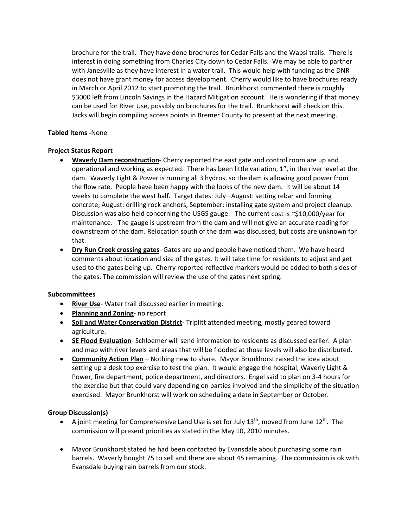brochure for the trail. They have done brochures for Cedar Falls and the Wapsi trails. There is interest in doing something from Charles City down to Cedar Falls. We may be able to partner with Janesville as they have interest in a water trail. This would help with funding as the DNR does not have grant money for access development. Cherry would like to have brochures ready in March or April 2012 to start promoting the trail. Brunkhorst commented there is roughly \$3000 left from Lincoln Savings in the Hazard Mitigation account. He is wondering if that money can be used for River Use, possibly on brochures for the trail. Brunkhorst will check on this. Jacks will begin compiling access points in Bremer County to present at the next meeting.

### **Tabled Items ‐**None

## **Project Status Report**

- **Waverly Dam reconstruction**‐ Cherry reported the east gate and control room are up and operational and working as expected. There has been little variation, 1", in the river level at the dam. Waverly Light & Power is running all 3 hydros, so the dam is allowing good power from the flow rate. People have been happy with the looks of the new dam. It will be about 14 weeks to complete the west half. Target dates: July –August: setting rebar and forming concrete, August: drilling rock anchors, September: installing gate system and project cleanup. Discussion was also held concerning the USGS gauge. The current cost is ~\$10,000/year for maintenance. The gauge is upstream from the dam and will not give an accurate reading for downstream of the dam. Relocation south of the dam was discussed, but costs are unknown for that.
- **Dry Run Creek crossing gates**‐ Gates are up and people have noticed them. We have heard comments about location and size of the gates. It will take time for residents to adjust and get used to the gates being up. Cherry reported reflective markers would be added to both sides of the gates. The commission will review the use of the gates next spring.

### **Subcommittees**

- **River Use**‐ Water trail discussed earlier in meeting.
- **Planning and Zoning**‐ no report
- **Soil and Water Conservation District**‐ Triplitt attended meeting, mostly geared toward agriculture.
- **SE Flood Evaluation**‐ Schloemer will send information to residents as discussed earlier. A plan and map with river levels and areas that will be flooded at those levels will also be distributed.
- **Community Action Plan** Nothing new to share. Mayor Brunkhorst raised the idea about setting up a desk top exercise to test the plan. It would engage the hospital, Waverly Light & Power, fire department, police department, and directors. Engel said to plan on 3‐4 hours for the exercise but that could vary depending on parties involved and the simplicity of the situation exercised. Mayor Brunkhorst will work on scheduling a date in September or October.

### **Group Discussion(s)**

- A joint meeting for Comprehensive Land Use is set for July  $13<sup>th</sup>$ , moved from June  $12<sup>th</sup>$ . The commission will present priorities as stated in the May 10, 2010 minutes.
- Mayor Brunkhorst stated he had been contacted by Evansdale about purchasing some rain barrels. Waverly bought 75 to sell and there are about 45 remaining. The commission is ok with Evansdale buying rain barrels from our stock.